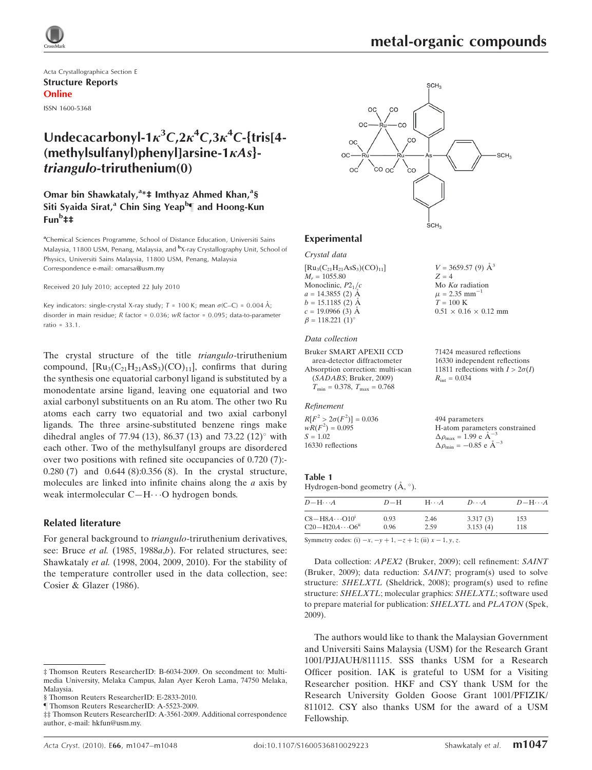

Acta Crystallographica Section E Structure Reports Online ISSN 1600-5368

## Undecacarbonyl-1 $\kappa^3C$ ,2 $\kappa^4C$ ,3 $\kappa^4C$ -{tris[4- $(methylsulfanvl)phenvllarsine-1 $\kappa As$$ triangulo-triruthenium(0)

## Omar bin Shawkataly,<sup>a\*</sup>‡ Imthyaz Ahmed Khan,<sup>a</sup>§ Siti Syaida Sirat,<sup>a</sup> Chin Sing Yeap<sup>b</sup>¶ and Hoong-Kun Fun<sup>b</sup>‡‡

<sup>a</sup>Chemical Sciences Programme, School of Distance Education, Universiti Sains Malaysia, 11800 USM, Penang, Malaysia, and <sup>b</sup>X-ray Crystallography Unit, School of Physics, Universiti Sains Malaysia, 11800 USM, Penang, Malaysia Correspondence e-mail: omarsa@usm.my

#### Received 20 July 2010; accepted 22 July 2010

Key indicators: single-crystal X-ray study;  $T = 100$  K; mean  $\sigma$ (C–C) = 0.004 Å; disorder in main residue; R factor = 0.036; wR factor = 0.095; data-to-parameter ratio = 33.1.

The crystal structure of the title triangulo-triruthenium compound,  $\text{Ru}_3(\text{C}_{21}\text{H}_{21}\text{AsS}_3)(\text{CO})_{11}$ , confirms that during the synthesis one equatorial carbonyl ligand is substituted by a monodentate arsine ligand, leaving one equatorial and two axial carbonyl substituents on an Ru atom. The other two Ru atoms each carry two equatorial and two axial carbonyl ligands. The three arsine-substituted benzene rings make dihedral angles of 77.94 (13), 86.37 (13) and 73.22 (12) $^{\circ}$  with each other. Two of the methylsulfanyl groups are disordered over two positions with refined site occupancies of 0.720 (7):- 0.280 (7) and 0.644 (8):0.356 (8). In the crystal structure, molecules are linked into infinite chains along the  $a$  axis by weak intermolecular  $C-H \cdots O$  hydrogen bonds.

### Related literature

For general background to triangulo-triruthenium derivatives, see: Bruce et al. (1985, 1988a,b). For related structures, see: Shawkataly et al. (1998, 2004, 2009, 2010). For the stability of the temperature controller used in the data collection, see: Cosier & Glazer (1986).



### Experimental

### Crystal data

| $[Ru_3(C_{21}H_{21}AsS_3)(CO)_{11}]$ | $V = 3659.57(9)$ $\AA^3$          |
|--------------------------------------|-----------------------------------|
| $M_r = 1055.80$                      | $Z = 4$                           |
| Monoclinic, $P2_1/c$                 | Mo $K\alpha$ radiation            |
| $a = 14.3855$ (2) A                  | $\mu = 2.35$ mm <sup>-1</sup>     |
| $b = 15.1185$ (2) A                  | $T = 100 \text{ K}$               |
| $c = 19.0966(3)$ Å                   | $0.51 \times 0.16 \times 0.12$ mm |
| $\beta = 118.221$ (1) <sup>o</sup>   |                                   |

### Data collection

Bruker SMART APEXII CCD area-detector diffractometer Absorption correction: multi-scan (SADABS; Bruker, 2009)  $T_{\text{min}} = 0.378$ ,  $T_{\text{max}} = 0.768$ 

#### Refinement

 $R[F^2 > 2\sigma(F^2)] = 0.036$  $wR(F^2) = 0.095$  $S = 1.02$ 16330 reflections

### Table 1

Hydrogen-bond geometry  $(\AA, \degree)$ .

| $D - H \cdots A$                     | $D-H$ | $H\cdots A$ | $D\cdots A$ | $D - H \cdots A$ |
|--------------------------------------|-------|-------------|-------------|------------------|
| $C8 - H8A \cdots O10^{i}$            | 0.93  | 2.46        | 3.317(3)    | 153              |
| $C20 - H20A \cdots 06$ <sup>ii</sup> | 0.96  | 2.59        | 3.153(4)    | 118              |

71424 measured reflections 16330 independent reflections 11811 reflections with  $I > 2\sigma(I)$ 

H-atom parameters constrained

 $R_{\text{int}} = 0.034$ 

494 parameters

 $\Delta \rho_{\text{max}} = 1.99 \text{ e A}^{-3}$  $\Delta \rho_{\text{min}} = -0.85$  e  $\AA^{-3}$ 

Symmetry codes: (i)  $-x, -y + 1, -z + 1$ ; (ii)  $x - 1, y, z$ .

Data collection: APEX2 (Bruker, 2009); cell refinement: SAINT (Bruker, 2009); data reduction: SAINT; program(s) used to solve structure: SHELXTL (Sheldrick, 2008); program(s) used to refine structure: SHELXTL; molecular graphics: SHELXTL; software used to prepare material for publication: SHELXTL and PLATON (Spek, 2009).

The authors would like to thank the Malaysian Government and Universiti Sains Malaysia (USM) for the Research Grant 1001/PJJAUH/811115. SSS thanks USM for a Research Officer position. IAK is grateful to USM for a Visiting Researcher position. HKF and CSY thank USM for the Research University Golden Goose Grant 1001/PFIZIK/ 811012. CSY also thanks USM for the award of a USM Fellowship.

<sup>‡</sup> Thomson Reuters ResearcherID: B-6034-2009. On secondment to: Multimedia University, Melaka Campus, Jalan Ayer Keroh Lama, 74750 Melaka, Malaysia.

<sup>§</sup> Thomson Reuters ResearcherID: E-2833-2010.

<sup>}</sup> Thomson Reuters ResearcherID: A-5523-2009.

<sup>‡‡</sup> Thomson Reuters ResearcherID: A-3561-2009. Additional correspondence author, e-mail: hkfun@usm.my.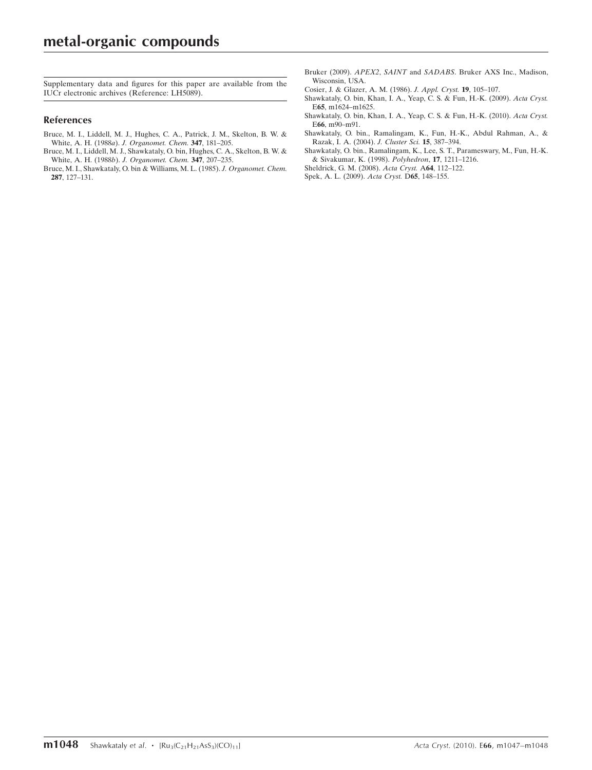Supplementary data and figures for this paper are available from the IUCr electronic archives (Reference: LH5089).

### References

- [Bruce, M. I., Liddell, M. J., Hughes, C. A., Patrick, J. M., Skelton, B. W. &](https://scripts.iucr.org/cgi-bin/cr.cgi?rm=pdfbb&cnor=lh5089&bbid=BB1) White, A. H. (1988a). [J. Organomet. Chem.](https://scripts.iucr.org/cgi-bin/cr.cgi?rm=pdfbb&cnor=lh5089&bbid=BB1) 347, 181–205.
- [Bruce, M. I., Liddell, M. J., Shawkataly, O. bin, Hughes, C. A., Skelton, B. W. &](https://scripts.iucr.org/cgi-bin/cr.cgi?rm=pdfbb&cnor=lh5089&bbid=BB2) White, A. H. (1988b). [J. Organomet. Chem.](https://scripts.iucr.org/cgi-bin/cr.cgi?rm=pdfbb&cnor=lh5089&bbid=BB2) 347, 207-235.
- [Bruce, M. I., Shawkataly, O. bin & Williams, M. L. \(1985\).](https://scripts.iucr.org/cgi-bin/cr.cgi?rm=pdfbb&cnor=lh5089&bbid=BB3) J. Organomet. Chem. 287[, 127–131.](https://scripts.iucr.org/cgi-bin/cr.cgi?rm=pdfbb&cnor=lh5089&bbid=BB3)
- Bruker (2009). APEX2, SAINT and SADABS[. Bruker AXS Inc., Madison,](https://scripts.iucr.org/cgi-bin/cr.cgi?rm=pdfbb&cnor=lh5089&bbid=BB4) [Wisconsin, USA.](https://scripts.iucr.org/cgi-bin/cr.cgi?rm=pdfbb&cnor=lh5089&bbid=BB4)
- [Cosier, J. & Glazer, A. M. \(1986\).](https://scripts.iucr.org/cgi-bin/cr.cgi?rm=pdfbb&cnor=lh5089&bbid=BB5) J. Appl. Cryst. 19, 105–107.
- [Shawkataly, O. bin, Khan, I. A., Yeap, C. S. & Fun, H.-K. \(2009\).](https://scripts.iucr.org/cgi-bin/cr.cgi?rm=pdfbb&cnor=lh5089&bbid=BB6) Acta Cryst. E65[, m1624–m1625.](https://scripts.iucr.org/cgi-bin/cr.cgi?rm=pdfbb&cnor=lh5089&bbid=BB6)
- [Shawkataly, O. bin, Khan, I. A., Yeap, C. S. & Fun, H.-K. \(2010\).](https://scripts.iucr.org/cgi-bin/cr.cgi?rm=pdfbb&cnor=lh5089&bbid=BB7) Acta Cryst. E66[, m90–m91.](https://scripts.iucr.org/cgi-bin/cr.cgi?rm=pdfbb&cnor=lh5089&bbid=BB7)
- [Shawkataly, O. bin., Ramalingam, K., Fun, H.-K., Abdul Rahman, A., &](https://scripts.iucr.org/cgi-bin/cr.cgi?rm=pdfbb&cnor=lh5089&bbid=BB8) [Razak, I. A. \(2004\).](https://scripts.iucr.org/cgi-bin/cr.cgi?rm=pdfbb&cnor=lh5089&bbid=BB8) J. Cluster Sci. 15, 387–394.
- [Shawkataly, O. bin., Ramalingam, K., Lee, S. T., Parameswary, M., Fun, H.-K.](https://scripts.iucr.org/cgi-bin/cr.cgi?rm=pdfbb&cnor=lh5089&bbid=BB9) [& Sivakumar, K. \(1998\).](https://scripts.iucr.org/cgi-bin/cr.cgi?rm=pdfbb&cnor=lh5089&bbid=BB9) Polyhedron, 17, 1211–1216.
- [Sheldrick, G. M. \(2008\).](https://scripts.iucr.org/cgi-bin/cr.cgi?rm=pdfbb&cnor=lh5089&bbid=BB10) Acta Cryst. A64, 112–122.
- [Spek, A. L. \(2009\).](https://scripts.iucr.org/cgi-bin/cr.cgi?rm=pdfbb&cnor=lh5089&bbid=BB11) Acta Cryst. D65, 148–155.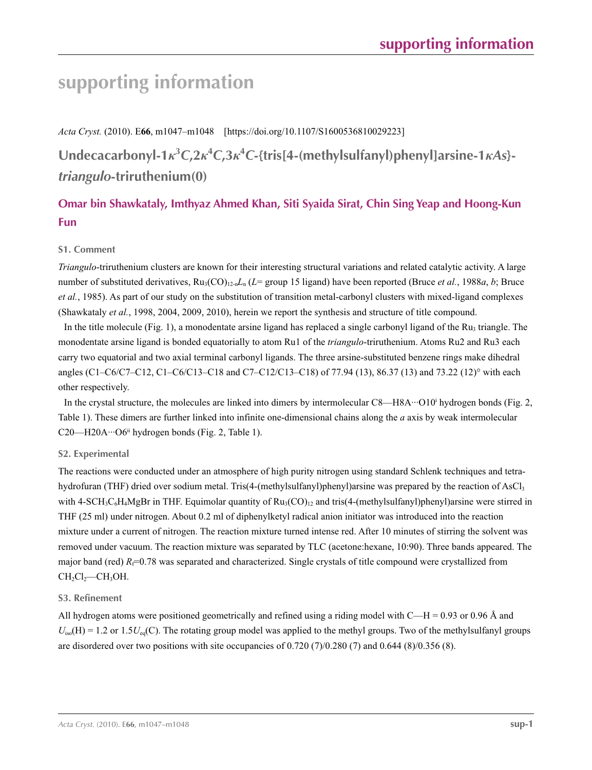# **supporting information**

*Acta Cryst.* (2010). E**66**, m1047–m1048 [https://doi.org/10.1107/S1600536810029223]

**Undecacarbonyl-1***κ***<sup>3</sup>** *C***,2***κ***<sup>4</sup>** *C***,3***κ***<sup>4</sup>** *C***-{tris[4-(methylsulfanyl)phenyl]arsine-1***κAs***}** *triangulo***-triruthenium(0)**

## **Omar bin Shawkataly, Imthyaz Ahmed Khan, Siti Syaida Sirat, Chin Sing Yeap and Hoong-Kun Fun**

## **S1. Comment**

*Triangulo*-triruthenium clusters are known for their interesting structural variations and related catalytic activity. A large number of substituted derivatives,  $Ru_3(CO)_{12n}L_n(L=$  group 15 ligand) have been reported (Bruce *et al.*, 1988*a*, *b*; Bruce *et al.*, 1985). As part of our study on the substitution of transition metal-carbonyl clusters with mixed-ligand complexes (Shawkataly *et al.*, 1998, 2004, 2009, 2010), herein we report the synthesis and structure of title compound.

In the title molecule (Fig. 1), a monodentate arsine ligand has replaced a single carbonyl ligand of the  $Ru_3$  triangle. The monodentate arsine ligand is bonded equatorially to atom Ru1 of the *triangulo*-triruthenium. Atoms Ru2 and Ru3 each carry two equatorial and two axial terminal carbonyl ligands. The three arsine-substituted benzene rings make dihedral angles (C1–C6/C7–C12, C1–C6/C13–C18 and C7–C12/C13–C18) of 77.94 (13), 86.37 (13) and 73.22 (12)° with each other respectively.

In the crystal structure, the molecules are linked into dimers by intermolecular C8—H8A···O10<sup>i</sup> hydrogen bonds (Fig. 2, Table 1). These dimers are further linked into infinite one-dimensional chains along the *a* axis by weak intermolecular C20—H20A···O6<sup>ii</sup> hydrogen bonds (Fig. 2, Table 1).

## **S2. Experimental**

The reactions were conducted under an atmosphere of high purity nitrogen using standard Schlenk techniques and tetrahydrofuran (THF) dried over sodium metal. Tris(4-(methylsulfanyl)phenyl)arsine was prepared by the reaction of AsCl<sub>3</sub> with 4-SCH<sub>3</sub>C<sub>6</sub>H<sub>4</sub>MgBr in THF. Equimolar quantity of  $Ru_3(CO)_{12}$  and tris(4-(methylsulfanyl)phenyl)arsine were stirred in THF (25 ml) under nitrogen. About 0.2 ml of diphenylketyl radical anion initiator was introduced into the reaction mixture under a current of nitrogen. The reaction mixture turned intense red. After 10 minutes of stirring the solvent was removed under vacuum. The reaction mixture was separated by TLC (acetone:hexane, 10:90). Three bands appeared. The major band (red)  $R_f$ =0.78 was separated and characterized. Single crystals of title compound were crystallized from  $CH<sub>2</sub>Cl<sub>2</sub>—CH<sub>3</sub>OH.$ 

## **S3. Refinement**

All hydrogen atoms were positioned geometrically and refined using a riding model with  $C-H = 0.93$  or 0.96 Å and  $U_{\text{iso}}(H) = 1.2$  or  $1.5U_{\text{eq}}(C)$ . The rotating group model was applied to the methyl groups. Two of the methylsulfanyl groups are disordered over two positions with site occupancies of 0.720 (7)/0.280 (7) and 0.644 (8)/0.356 (8).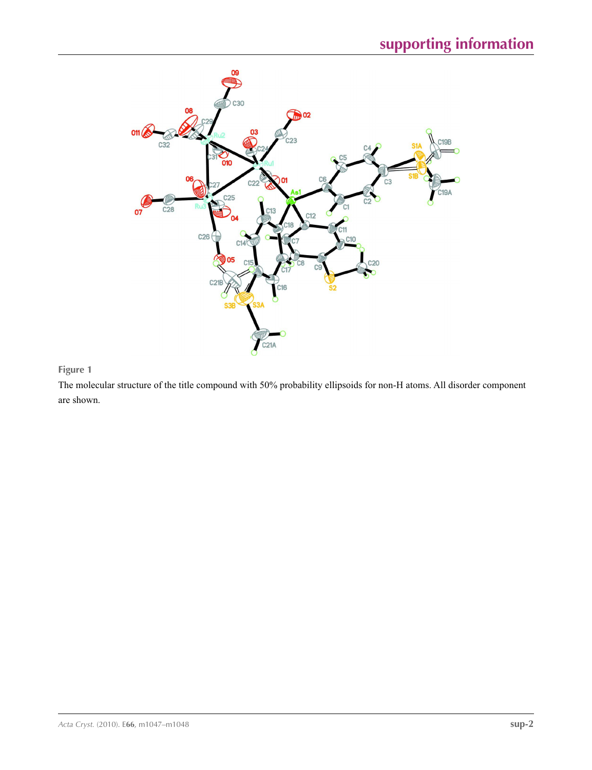

## **Figure 1**

The molecular structure of the title compound with 50% probability ellipsoids for non-H atoms. All disorder component are shown.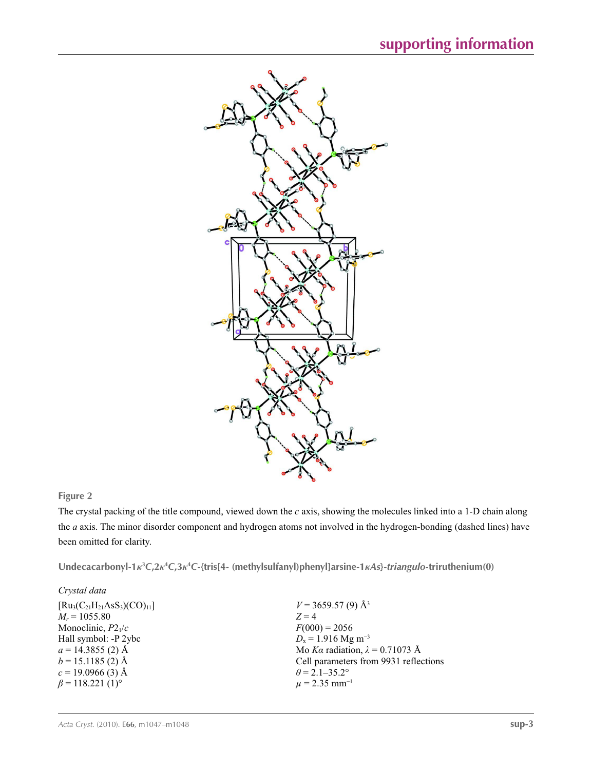

## **Figure 2**

The crystal packing of the title compound, viewed down the *c* axis, showing the molecules linked into a 1-D chain along the *a* axis. The minor disorder component and hydrogen atoms not involved in the hydrogen-bonding (dashed lines) have been omitted for clarity.

Undecacarbonyl-1 $\kappa^3C, 2\kappa^4C, 3\kappa^4C$ -{tris[4- (methylsulfanyl)phenyl]arsine-1 $\kappa$ As}-triangulo-triruthenium(0)

| Crystal data                         |                                        |
|--------------------------------------|----------------------------------------|
| $[Ru_3(C_{21}H_{21}AsS_3)(CO)_{11}]$ | $V = 3659.57(9)$ Å <sup>3</sup>        |
| $M_r = 1055.80$                      | $Z=4$                                  |
| Monoclinic, $P2_1/c$                 | $F(000) = 2056$                        |
| Hall symbol: -P 2ybc                 | $D_x = 1.916$ Mg m <sup>-3</sup>       |
| $a = 14.3855(2)$ Å                   | Mo Ka radiation, $\lambda = 0.71073$ Å |
| $b = 15.1185$ (2) Å                  | Cell parameters from 9931 reflections  |
| $c = 19.0966(3)$ Å                   | $\theta$ = 2.1–35.2°                   |
| $\beta$ = 118.221 (1) <sup>o</sup>   | $\mu$ = 2.35 mm <sup>-1</sup>          |
|                                      |                                        |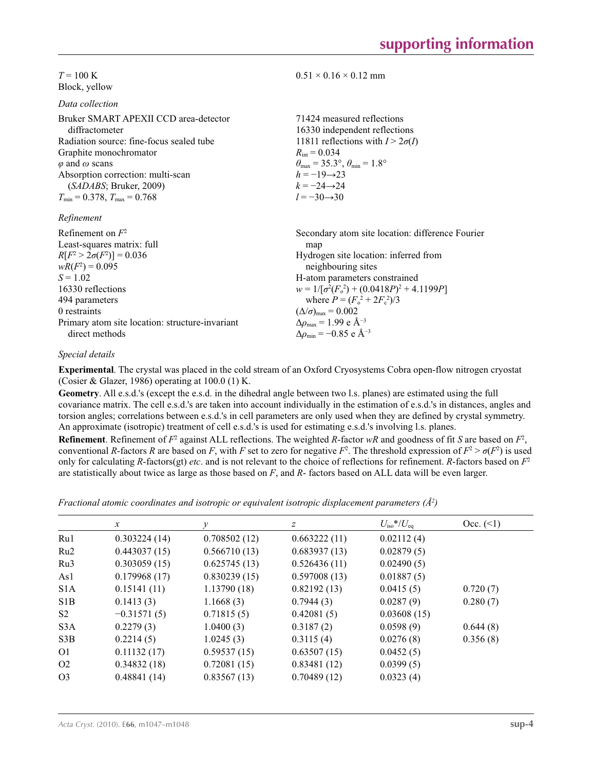$T = 100 \text{ K}$ Block, yellow

*Data collection*

| Bruker SMART APEXII CCD area-detector<br>diffractometer | 71424 measured reflections<br>16330 independent reflections             |
|---------------------------------------------------------|-------------------------------------------------------------------------|
| Radiation source: fine-focus sealed tube                | 11811 reflections with $I > 2\sigma(I)$                                 |
| Graphite monochromator                                  | $R_{\text{int}} = 0.034$                                                |
| $\varphi$ and $\omega$ scans                            | $\theta_{\text{max}} = 35.3^{\circ}, \theta_{\text{min}} = 1.8^{\circ}$ |
| Absorption correction: multi-scan                       | $h = -19 \rightarrow 23$                                                |
| (SADABS; Bruker, 2009)                                  | $k = -24 \rightarrow 24$                                                |
| $T_{\min} = 0.378$ , $T_{\max} = 0.768$                 | $l = -30 \rightarrow 30$                                                |
| Refinement                                              |                                                                         |
| Refinement on $F^2$                                     | Secondary atom site location: difference Fourier                        |
| Least-squares matrix: full                              | map                                                                     |
| $R[F^2 > 2\sigma(F^2)] = 0.036$                         | Hydrogen site location: inferred from                                   |

*R*[*F*<sup>2</sup>  $> 2\sigma(F^2)$  $)$ ] = 0.036  $wR(F^2) = 0.095$  $S = 1.02$ 16330 reflections 494 parameters 0 restraints Primary atom site location: structure-invariant direct methods Hydrogen site location: inferred from neighbouring sites H-atom parameters constrained  $w = 1/[\sigma^2 (F_o^2) + (0.0418P)^2 + 4.1199P]$ where  $P = (F_o^2 + 2F_c^2)/3$  $(\Delta/\sigma)_{\text{max}} = 0.002$ Δ*ρ*max = 1.99 e Å−3  $\Delta \rho_{\text{min}} = -0.85$  e Å<sup>-3</sup>

### *Special details*

**Experimental**. The crystal was placed in the cold stream of an Oxford Cryosystems Cobra open-flow nitrogen cryostat (Cosier & Glazer, 1986) operating at 100.0 (1) K.

 $0.51 \times 0.16 \times 0.12$  mm

**Geometry**. All e.s.d.'s (except the e.s.d. in the dihedral angle between two l.s. planes) are estimated using the full covariance matrix. The cell e.s.d.'s are taken into account individually in the estimation of e.s.d.'s in distances, angles and torsion angles; correlations between e.s.d.'s in cell parameters are only used when they are defined by crystal symmetry. An approximate (isotropic) treatment of cell e.s.d.'s is used for estimating e.s.d.'s involving l.s. planes.

**Refinement**. Refinement of  $F^2$  against ALL reflections. The weighted *R*-factor  $wR$  and goodness of fit *S* are based on  $F^2$ , conventional *R*-factors *R* are based on *F*, with *F* set to zero for negative  $F^2$ . The threshold expression of  $F^2 > \sigma(F^2)$  is used only for calculating *R*-factors(gt) *etc*. and is not relevant to the choice of reflections for refinement. *R*-factors based on *F*<sup>2</sup> are statistically about twice as large as those based on *F*, and *R*- factors based on ALL data will be even larger.

*Fractional atomic coordinates and isotropic or equivalent isotropic displacement parameters (Å<sup>2</sup>)* 

|                | $\mathcal{X}$ | $\mathcal{V}$ | z            | $U_{\rm iso} * / U_{\rm eq}$ | Occ. (2) |
|----------------|---------------|---------------|--------------|------------------------------|----------|
| Ru1            | 0.303224(14)  | 0.708502(12)  | 0.663222(11) | 0.02112(4)                   |          |
| Ru2            | 0.443037(15)  | 0.566710(13)  | 0.683937(13) | 0.02879(5)                   |          |
| Ru3            | 0.303059(15)  | 0.625745(13)  | 0.526436(11) | 0.02490(5)                   |          |
| As1            | 0.179968(17)  | 0.830239(15)  | 0.597008(13) | 0.01887(5)                   |          |
| S1A            | 0.15141(11)   | 1.13790(18)   | 0.82192(13)  | 0.0415(5)                    | 0.720(7) |
| S1B            | 0.1413(3)     | 1.1668(3)     | 0.7944(3)    | 0.0287(9)                    | 0.280(7) |
| S <sub>2</sub> | $-0.31571(5)$ | 0.71815(5)    | 0.42081(5)   | 0.03608(15)                  |          |
| S3A            | 0.2279(3)     | 1.0400(3)     | 0.3187(2)    | 0.0598(9)                    | 0.644(8) |
| S3B            | 0.2214(5)     | 1.0245(3)     | 0.3115(4)    | 0.0276(8)                    | 0.356(8) |
| O <sub>1</sub> | 0.11132(17)   | 0.59537(15)   | 0.63507(15)  | 0.0452(5)                    |          |
| O <sub>2</sub> | 0.34832(18)   | 0.72081(15)   | 0.83481(12)  | 0.0399(5)                    |          |
| O <sub>3</sub> | 0.48841(14)   | 0.83567(13)   | 0.70489(12)  | 0.0323(4)                    |          |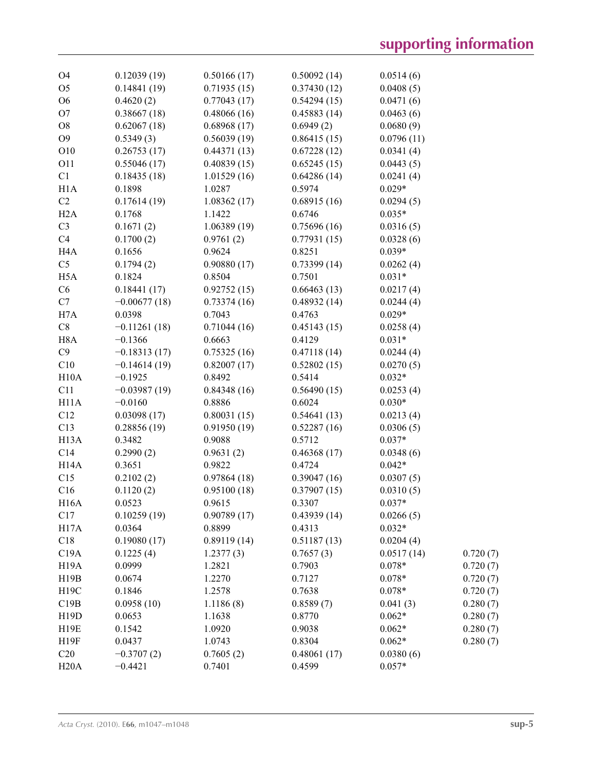| O4                | 0.12039(19)    | 0.50166(17) | 0.50092(14) | 0.0514(6)  |          |
|-------------------|----------------|-------------|-------------|------------|----------|
| O <sub>5</sub>    | 0.14841(19)    | 0.71935(15) | 0.37430(12) | 0.0408(5)  |          |
| O <sub>6</sub>    | 0.4620(2)      | 0.77043(17) | 0.54294(15) | 0.0471(6)  |          |
| O <sub>7</sub>    | 0.38667(18)    | 0.48066(16) | 0.45883(14) | 0.0463(6)  |          |
| O <sub>8</sub>    | 0.62067(18)    | 0.68968(17) | 0.6949(2)   | 0.0680(9)  |          |
| O <sub>9</sub>    | 0.5349(3)      | 0.56039(19) | 0.86415(15) | 0.0796(11) |          |
| O10               | 0.26753(17)    | 0.44371(13) | 0.67228(12) | 0.0341(4)  |          |
| O11               | 0.55046(17)    | 0.40839(15) | 0.65245(15) | 0.0443(5)  |          |
| C1                | 0.18435(18)    | 1.01529(16) | 0.64286(14) | 0.0241(4)  |          |
| H1A               | 0.1898         | 1.0287      | 0.5974      | $0.029*$   |          |
| C2                | 0.17614(19)    | 1.08362(17) | 0.68915(16) | 0.0294(5)  |          |
| H2A               | 0.1768         | 1.1422      | 0.6746      | $0.035*$   |          |
| C <sub>3</sub>    | 0.1671(2)      | 1.06389(19) | 0.75696(16) | 0.0316(5)  |          |
| C4                | 0.1700(2)      | 0.9761(2)   | 0.77931(15) | 0.0328(6)  |          |
| H <sub>4</sub> A  | 0.1656         | 0.9624      | 0.8251      | $0.039*$   |          |
| C <sub>5</sub>    | 0.1794(2)      | 0.90880(17) | 0.73399(14) | 0.0262(4)  |          |
| H <sub>5</sub> A  | 0.1824         | 0.8504      | 0.7501      | $0.031*$   |          |
| C6                | 0.18441(17)    | 0.92752(15) | 0.66463(13) | 0.0217(4)  |          |
| C7                | $-0.00677(18)$ | 0.73374(16) | 0.48932(14) | 0.0244(4)  |          |
| H7A               | 0.0398         | 0.7043      | 0.4763      | $0.029*$   |          |
| $\mbox{C}8$       | $-0.11261(18)$ | 0.71044(16) | 0.45143(15) | 0.0258(4)  |          |
| H <sub>8</sub> A  | $-0.1366$      | 0.6663      | 0.4129      | $0.031*$   |          |
| C9                | $-0.18313(17)$ | 0.75325(16) | 0.47118(14) | 0.0244(4)  |          |
| C10               | $-0.14614(19)$ | 0.82007(17) | 0.52802(15) | 0.0270(5)  |          |
| H10A              | $-0.1925$      | 0.8492      | 0.5414      | $0.032*$   |          |
| C11               | $-0.03987(19)$ | 0.84348(16) | 0.56490(15) | 0.0253(4)  |          |
| H11A              | $-0.0160$      | 0.8886      | 0.6024      | $0.030*$   |          |
| C12               | 0.03098(17)    | 0.80031(15) | 0.54641(13) | 0.0213(4)  |          |
| C13               | 0.28856(19)    | 0.91950(19) | 0.52287(16) | 0.0306(5)  |          |
| H <sub>13</sub> A | 0.3482         | 0.9088      | 0.5712      | $0.037*$   |          |
| C14               | 0.2990(2)      | 0.9631(2)   | 0.46368(17) | 0.0348(6)  |          |
| H14A              | 0.3651         | 0.9822      | 0.4724      | $0.042*$   |          |
| C15               | 0.2102(2)      | 0.97864(18) | 0.39047(16) | 0.0307(5)  |          |
| C16               | 0.1120(2)      | 0.95100(18) | 0.37907(15) | 0.0310(5)  |          |
| H16A              | 0.0523         | 0.9615      | 0.3307      | $0.037*$   |          |
| C17               | 0.10259(19)    | 0.90789(17) | 0.43939(14) | 0.0266(5)  |          |
| H17A              | 0.0364         | 0.8899      | 0.4313      | $0.032*$   |          |
| C18               | 0.19080(17)    | 0.89119(14) | 0.51187(13) | 0.0204(4)  |          |
| C19A              | 0.1225(4)      | 1.2377(3)   | 0.7657(3)   | 0.0517(14) | 0.720(7) |
| H <sub>19</sub> A | 0.0999         | 1.2821      | 0.7903      | $0.078*$   | 0.720(7) |
| H19B              | 0.0674         | 1.2270      | 0.7127      | $0.078*$   | 0.720(7) |
| H19C              | 0.1846         | 1.2578      | 0.7638      | $0.078*$   | 0.720(7) |
| C19B              | 0.0958(10)     | 1.1186(8)   | 0.8589(7)   | 0.041(3)   | 0.280(7) |
| H19D              | 0.0653         | 1.1638      | 0.8770      | $0.062*$   | 0.280(7) |
| H19E              | 0.1542         | 1.0920      | 0.9038      | $0.062*$   | 0.280(7) |
| H19F              | 0.0437         | 1.0743      | 0.8304      | $0.062*$   | 0.280(7) |
| C20               | $-0.3707(2)$   | 0.7605(2)   | 0.48061(17) | 0.0380(6)  |          |
| H20A              | $-0.4421$      | 0.7401      | 0.4599      | $0.057*$   |          |
|                   |                |             |             |            |          |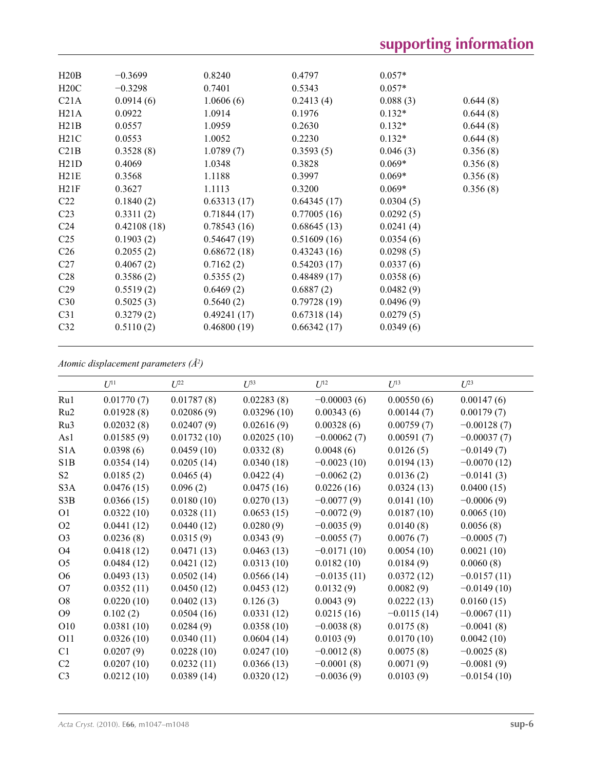| H20B            | $-0.3699$   | 0.8240      | 0.4797      | $0.057*$  |          |
|-----------------|-------------|-------------|-------------|-----------|----------|
| H20C            | $-0.3298$   | 0.7401      | 0.5343      | $0.057*$  |          |
| C21A            | 0.0914(6)   | 1.0606(6)   | 0.2413(4)   | 0.088(3)  | 0.644(8) |
| H21A            | 0.0922      | 1.0914      | 0.1976      | $0.132*$  | 0.644(8) |
| H21B            | 0.0557      | 1.0959      | 0.2630      | $0.132*$  | 0.644(8) |
| H21C            | 0.0553      | 1.0052      | 0.2230      | $0.132*$  | 0.644(8) |
| C21B            | 0.3528(8)   | 1.0789(7)   | 0.3593(5)   | 0.046(3)  | 0.356(8) |
| H21D            | 0.4069      | 1.0348      | 0.3828      | $0.069*$  | 0.356(8) |
| H21E            | 0.3568      | 1.1188      | 0.3997      | $0.069*$  | 0.356(8) |
| H21F            | 0.3627      | 1.1113      | 0.3200      | $0.069*$  | 0.356(8) |
| C <sub>22</sub> | 0.1840(2)   | 0.63313(17) | 0.64345(17) | 0.0304(5) |          |
| C <sub>23</sub> | 0.3311(2)   | 0.71844(17) | 0.77005(16) | 0.0292(5) |          |
| C <sub>24</sub> | 0.42108(18) | 0.78543(16) | 0.68645(13) | 0.0241(4) |          |
| C <sub>25</sub> | 0.1903(2)   | 0.54647(19) | 0.51609(16) | 0.0354(6) |          |
| C <sub>26</sub> | 0.2055(2)   | 0.68672(18) | 0.43243(16) | 0.0298(5) |          |
| C27             | 0.4067(2)   | 0.7162(2)   | 0.54203(17) | 0.0337(6) |          |
| C <sub>28</sub> | 0.3586(2)   | 0.5355(2)   | 0.48489(17) | 0.0358(6) |          |
| C <sub>29</sub> | 0.5519(2)   | 0.6469(2)   | 0.6887(2)   | 0.0482(9) |          |
| C30             | 0.5025(3)   | 0.5640(2)   | 0.79728(19) | 0.0496(9) |          |
| C <sub>31</sub> | 0.3279(2)   | 0.49241(17) | 0.67318(14) | 0.0279(5) |          |
| C <sub>32</sub> | 0.5110(2)   | 0.46800(19) | 0.66342(17) | 0.0349(6) |          |
|                 |             |             |             |           |          |

*Atomic displacement parameters (Å2 )*

| $U^{11}$   | $U^{22}$    | $U^{33}$    | $U^{12}$      | $U^{13}$      | $U^{23}$      |
|------------|-------------|-------------|---------------|---------------|---------------|
| 0.01770(7) | 0.01787(8)  | 0.02283(8)  | $-0.00003(6)$ | 0.00550(6)    | 0.00147(6)    |
| 0.01928(8) | 0.02086(9)  | 0.03296(10) | 0.00343(6)    | 0.00144(7)    | 0.00179(7)    |
| 0.02032(8) | 0.02407(9)  | 0.02616(9)  | 0.00328(6)    | 0.00759(7)    | $-0.00128(7)$ |
| 0.01585(9) | 0.01732(10) | 0.02025(10) | $-0.00062(7)$ | 0.00591(7)    | $-0.00037(7)$ |
| 0.0398(6)  | 0.0459(10)  | 0.0332(8)   | 0.0048(6)     | 0.0126(5)     | $-0.0149(7)$  |
| 0.0354(14) | 0.0205(14)  | 0.0340(18)  | $-0.0023(10)$ | 0.0194(13)    | $-0.0070(12)$ |
| 0.0185(2)  | 0.0465(4)   | 0.0422(4)   | $-0.0062(2)$  | 0.0136(2)     | $-0.0141(3)$  |
| 0.0476(15) | 0.096(2)    | 0.0475(16)  | 0.0226(16)    | 0.0324(13)    | 0.0400(15)    |
| 0.0366(15) | 0.0180(10)  | 0.0270(13)  | $-0.0077(9)$  | 0.0141(10)    | $-0.0006(9)$  |
| 0.0322(10) | 0.0328(11)  | 0.0653(15)  | $-0.0072(9)$  | 0.0187(10)    | 0.0065(10)    |
| 0.0441(12) | 0.0440(12)  | 0.0280(9)   | $-0.0035(9)$  | 0.0140(8)     | 0.0056(8)     |
| 0.0236(8)  | 0.0315(9)   | 0.0343(9)   | $-0.0055(7)$  | 0.0076(7)     | $-0.0005(7)$  |
| 0.0418(12) | 0.0471(13)  | 0.0463(13)  | $-0.0171(10)$ | 0.0054(10)    | 0.0021(10)    |
| 0.0484(12) | 0.0421(12)  | 0.0313(10)  | 0.0182(10)    | 0.0184(9)     | 0.0060(8)     |
| 0.0493(13) | 0.0502(14)  | 0.0566(14)  | $-0.0135(11)$ | 0.0372(12)    | $-0.0157(11)$ |
| 0.0352(11) | 0.0450(12)  | 0.0453(12)  | 0.0132(9)     | 0.0082(9)     | $-0.0149(10)$ |
| 0.0220(10) | 0.0402(13)  | 0.126(3)    | 0.0043(9)     | 0.0222(13)    | 0.0160(15)    |
| 0.102(2)   | 0.0504(16)  | 0.0331(12)  | 0.0215(16)    | $-0.0115(14)$ | $-0.0067(11)$ |
| 0.0381(10) | 0.0284(9)   | 0.0358(10)  | $-0.0038(8)$  | 0.0175(8)     | $-0.0041(8)$  |
| 0.0326(10) | 0.0340(11)  | 0.0604(14)  | 0.0103(9)     | 0.0170(10)    | 0.0042(10)    |
| 0.0207(9)  | 0.0228(10)  | 0.0247(10)  | $-0.0012(8)$  | 0.0075(8)     | $-0.0025(8)$  |
| 0.0207(10) | 0.0232(11)  | 0.0366(13)  | $-0.0001(8)$  | 0.0071(9)     | $-0.0081(9)$  |
| 0.0212(10) | 0.0389(14)  | 0.0320(12)  | $-0.0036(9)$  | 0.0103(9)     | $-0.0154(10)$ |
|            |             |             |               |               |               |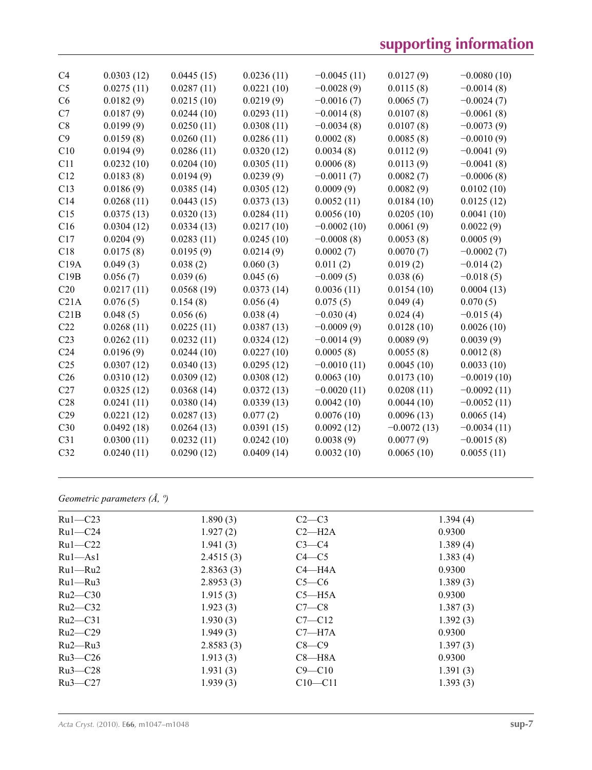| C <sub>4</sub>  | 0.0303(12) | 0.0445(15) | 0.0236(11) | $-0.0045(11)$ | 0.0127(9)     | $-0.0080(10)$ |
|-----------------|------------|------------|------------|---------------|---------------|---------------|
| C <sub>5</sub>  | 0.0275(11) | 0.0287(11) | 0.0221(10) | $-0.0028(9)$  | 0.0115(8)     | $-0.0014(8)$  |
| C <sub>6</sub>  | 0.0182(9)  | 0.0215(10) | 0.0219(9)  | $-0.0016(7)$  | 0.0065(7)     | $-0.0024(7)$  |
| C7              | 0.0187(9)  | 0.0244(10) | 0.0293(11) | $-0.0014(8)$  | 0.0107(8)     | $-0.0061(8)$  |
| C8              | 0.0199(9)  | 0.0250(11) | 0.0308(11) | $-0.0034(8)$  | 0.0107(8)     | $-0.0073(9)$  |
| C9              | 0.0159(8)  | 0.0260(11) | 0.0286(11) | 0.0002(8)     | 0.0085(8)     | $-0.0010(9)$  |
| C10             | 0.0194(9)  | 0.0286(11) | 0.0320(12) | 0.0034(8)     | 0.0112(9)     | $-0.0041(9)$  |
| C11             | 0.0232(10) | 0.0204(10) | 0.0305(11) | 0.0006(8)     | 0.0113(9)     | $-0.0041(8)$  |
| C12             | 0.0183(8)  | 0.0194(9)  | 0.0239(9)  | $-0.0011(7)$  | 0.0082(7)     | $-0.0006(8)$  |
| C13             | 0.0186(9)  | 0.0385(14) | 0.0305(12) | 0.0009(9)     | 0.0082(9)     | 0.0102(10)    |
| C14             | 0.0268(11) | 0.0443(15) | 0.0373(13) | 0.0052(11)    | 0.0184(10)    | 0.0125(12)    |
| C15             | 0.0375(13) | 0.0320(13) | 0.0284(11) | 0.0056(10)    | 0.0205(10)    | 0.0041(10)    |
| C16             | 0.0304(12) | 0.0334(13) | 0.0217(10) | $-0.0002(10)$ | 0.0061(9)     | 0.0022(9)     |
| C17             | 0.0204(9)  | 0.0283(11) | 0.0245(10) | $-0.0008(8)$  | 0.0053(8)     | 0.0005(9)     |
| C18             | 0.0175(8)  | 0.0195(9)  | 0.0214(9)  | 0.0002(7)     | 0.0070(7)     | $-0.0002(7)$  |
| C19A            | 0.049(3)   | 0.038(2)   | 0.060(3)   | 0.011(2)      | 0.019(2)      | $-0.014(2)$   |
| C19B            | 0.056(7)   | 0.039(6)   | 0.045(6)   | $-0.009(5)$   | 0.038(6)      | $-0.018(5)$   |
| C20             | 0.0217(11) | 0.0568(19) | 0.0373(14) | 0.0036(11)    | 0.0154(10)    | 0.0004(13)    |
| C21A            | 0.076(5)   | 0.154(8)   | 0.056(4)   | 0.075(5)      | 0.049(4)      | 0.070(5)      |
| C21B            | 0.048(5)   | 0.056(6)   | 0.038(4)   | $-0.030(4)$   | 0.024(4)      | $-0.015(4)$   |
| C22             | 0.0268(11) | 0.0225(11) | 0.0387(13) | $-0.0009(9)$  | 0.0128(10)    | 0.0026(10)    |
| C <sub>23</sub> | 0.0262(11) | 0.0232(11) | 0.0324(12) | $-0.0014(9)$  | 0.0089(9)     | 0.0039(9)     |
| C <sub>24</sub> | 0.0196(9)  | 0.0244(10) | 0.0227(10) | 0.0005(8)     | 0.0055(8)     | 0.0012(8)     |
| C <sub>25</sub> | 0.0307(12) | 0.0340(13) | 0.0295(12) | $-0.0010(11)$ | 0.0045(10)    | 0.0033(10)    |
| C <sub>26</sub> | 0.0310(12) | 0.0309(12) | 0.0308(12) | 0.0063(10)    | 0.0173(10)    | $-0.0019(10)$ |
| C27             | 0.0325(12) | 0.0368(14) | 0.0372(13) | $-0.0020(11)$ | 0.0208(11)    | $-0.0092(11)$ |
| C28             | 0.0241(11) | 0.0380(14) | 0.0339(13) | 0.0042(10)    | 0.0044(10)    | $-0.0052(11)$ |
| C29             | 0.0221(12) | 0.0287(13) | 0.077(2)   | 0.0076(10)    | 0.0096(13)    | 0.0065(14)    |
| C30             | 0.0492(18) | 0.0264(13) | 0.0391(15) | 0.0092(12)    | $-0.0072(13)$ | $-0.0034(11)$ |
| C31             | 0.0300(11) | 0.0232(11) | 0.0242(10) | 0.0038(9)     | 0.0077(9)     | $-0.0015(8)$  |
| C32             | 0.0240(11) | 0.0290(12) | 0.0409(14) | 0.0032(10)    | 0.0065(10)    | 0.0055(11)    |
|                 |            |            |            |               |               |               |

*Geometric parameters (Å, º)*

| $Ru1-C23$     | 1.890(3)  | $C2-C3$     | 1.394(4) |
|---------------|-----------|-------------|----------|
| $Ru1-C24$     | 1.927(2)  | $C2-H2A$    | 0.9300   |
| $Ru1-C22$     | 1.941(3)  | $C3-C4$     | 1.389(4) |
| $Ru1 - As1$   | 2.4515(3) | $C4 - C5$   | 1.383(4) |
| $Ru1 - Ru2$   | 2.8363(3) | $C4 - H4A$  | 0.9300   |
| $Ru1 - Ru3$   | 2.8953(3) | $C5-C6$     | 1.389(3) |
| $Ru2-C30$     | 1.915(3)  | $C5 - H5A$  | 0.9300   |
| $Ru2-C32$     | 1.923(3)  | $C7-C8$     | 1.387(3) |
| $Ru2-C31$     | 1.930(3)  | $C7 - C12$  | 1.392(3) |
| $Ru2-C29$     | 1.949(3)  | $C7 - H7A$  | 0.9300   |
| $Ru2$ — $Ru3$ | 2.8583(3) | $C8-C9$     | 1.397(3) |
| $Ru3-C26$     | 1.913(3)  | $C8 - H8A$  | 0.9300   |
| $Ru3-C28$     | 1.931(3)  | $C9 - C10$  | 1.391(3) |
| $Ru3-C27$     | 1.939(3)  | $C10 - C11$ | 1.393(3) |
|               |           |             |          |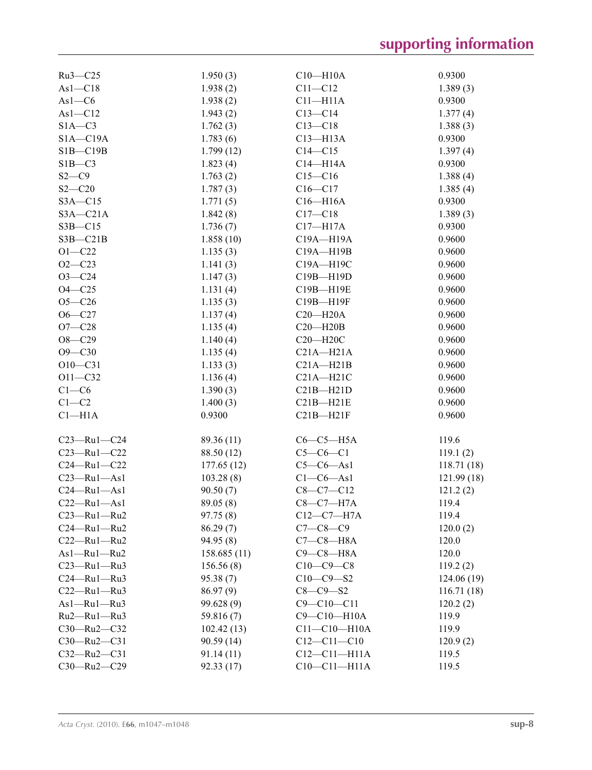| Ru3-C25           | 1.950(3)     | $C10 - H10A$       | 0.9300     |
|-------------------|--------------|--------------------|------------|
| $As1-C18$         | 1.938(2)     | $C11 - C12$        | 1.389(3)   |
| $As1-C6$          | 1.938(2)     | $C11 - H11A$       | 0.9300     |
| $As1 - C12$       | 1.943(2)     | $C13-C14$          | 1.377(4)   |
| $S1A-C3$          | 1.762(3)     | $C13 - C18$        | 1.388(3)   |
| $S1A - C19A$      | 1.783(6)     | $C13 - H13A$       | 0.9300     |
| $SIB - C19B$      | 1.799(12)    | $C14 - C15$        | 1.397(4)   |
| $SIB - C3$        | 1.823(4)     | $C14 - H14A$       | 0.9300     |
| $S2-C9$           | 1.763(2)     | $C15-C16$          | 1.388(4)   |
| $S2 - C20$        | 1.787(3)     | $C16 - C17$        | 1.385(4)   |
| $S3A - C15$       | 1.771(5)     | $C16 - H16A$       | 0.9300     |
| $S3A - C21A$      | 1.842(8)     | $C17 - C18$        | 1.389(3)   |
| $S3B - C15$       | 1.736(7)     | $C17 - H17A$       | 0.9300     |
| $S3B - C21B$      | 1.858(10)    | C19A-H19A          | 0.9600     |
| $O1 - C22$        | 1.135(3)     | C19A-H19B          | 0.9600     |
| $O2 - C23$        | 1.141(3)     | C19A-H19C          | 0.9600     |
| $O3 - C24$        | 1.147(3)     | C19B-H19D          | 0.9600     |
| $O4 - C25$        | 1.131(4)     | C19B-H19E          | 0.9600     |
| $O5 - C26$        | 1.135(3)     | C19B-H19F          | 0.9600     |
| $O6 - C27$        | 1.137(4)     | $C20 - H20A$       | 0.9600     |
| $O7 - C28$        | 1.135(4)     | $C20 - H20B$       | 0.9600     |
| $O8 - C29$        | 1.140(4)     | $C20 - H20C$       | 0.9600     |
| $O9 - C30$        | 1.135(4)     | $C21A - H21A$      | 0.9600     |
| $O10 - C31$       | 1.133(3)     | $C21A - H21B$      | 0.9600     |
| $O11 - C32$       | 1.136(4)     | $C21A - H21C$      | 0.9600     |
| $C1-C6$           | 1.390(3)     | $C21B - H21D$      | 0.9600     |
| $C1-C2$           | 1.400(3)     | $C21B - H21E$      | 0.9600     |
| $Cl-H1A$          | 0.9300       | $C21B - H21F$      | 0.9600     |
|                   |              |                    |            |
| $C23 - Ru1 - C24$ | 89.36 (11)   | $C6-C5-H5A$        | 119.6      |
| $C23 - Ru1 - C22$ | 88.50 (12)   | $C5-C6-C1$         | 119.1(2)   |
| $C24 - Ru1 - C22$ | 177.65(12)   | $C5-C6-As1$        | 118.71(18) |
| $C23 - Ru1 - As1$ | 103.28(8)    | $C1-C6-As1$        | 121.99(18) |
| $C24 - Ru1 - As1$ | 90.50(7)     | $C8 - C7 - C12$    | 121.2(2)   |
| $C22 - Ru1 - As1$ | 89.05 (8)    | $C8-C7-H7A$        | 119.4      |
| $C23 - Ru1 - Ru2$ | 97.75(8)     | $C12-C7-H7A$       | 119.4      |
| $C24 - Ru1 - Ru2$ | 86.29(7)     | $C7 - C8 - C9$     | 120.0(2)   |
| $C22 - Ru1 - Ru2$ | 94.95 (8)    | $C7-C8-H8A$        | 120.0      |
| As1-Ru1-Ru2       | 158.685 (11) | $C9-C8-H8A$        | 120.0      |
| $C23 - Ru1 - Ru3$ | 156.56(8)    | $C10-C9-C8$        | 119.2(2)   |
| $C24 - Ru1 - Ru3$ | 95.38(7)     | $C10-C9-S2$        | 124.06(19) |
| $C22 - Ru1 - Ru3$ | 86.97(9)     | $C8-C9-S2$         | 116.71(18) |
| As1-Ru1-Ru3       | 99.628 (9)   | $C9 - C10 - C11$   | 120.2(2)   |
| Ru2-Ru1-Ru3       | 59.816 (7)   | C9-C10-H10A        | 119.9      |
| C30-Ru2-C32       | 102.42(13)   | $C11 - C10 - H10A$ | 119.9      |
| $C30 - Ru2 - C31$ | 90.59 (14)   | $C12 - C11 - C10$  | 120.9(2)   |
| $C32 - Ru2 - C31$ | 91.14(11)    | $C12 - C11 - H11A$ | 119.5      |
| $C30 - Ru2 - C29$ | 92.33 (17)   | $C10-C11-H11A$     | 119.5      |
|                   |              |                    |            |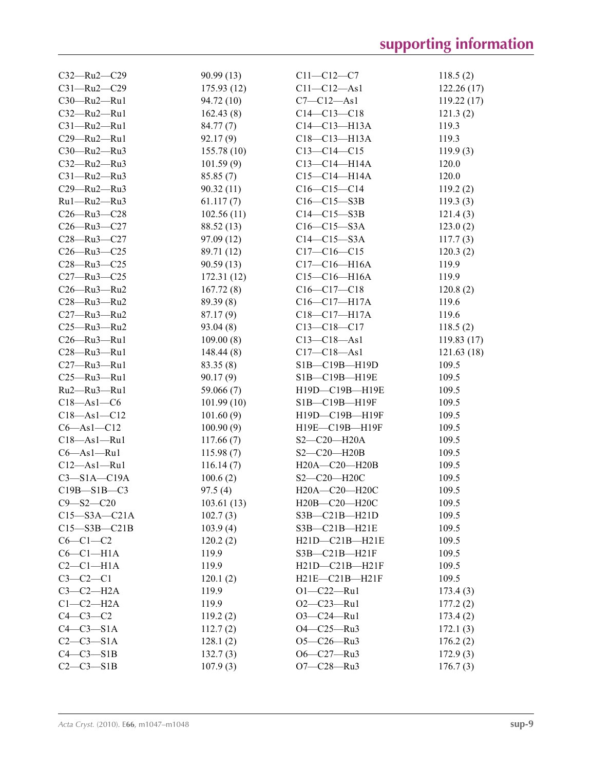| $C32 - Ru2 - C29$  | 90.99(13)            | $C11 - C12 - C7$    | 118.5(2)             |
|--------------------|----------------------|---------------------|----------------------|
| $C31 - Ru2 - C29$  | 175.93(12)           | $C11 - C12 - As1$   | 122.26(17)           |
| C30-Ru2-Ru1        | 94.72 (10)           | $C7 - C12 - As1$    | 119.22(17)           |
| C32-Ru2-Ru1        | 162.43(8)            | $C14 - C13 - C18$   | 121.3(2)             |
| $C31 - Ru2 - Ru1$  | 84.77(7)             | $C14 - C13 - H13A$  | 119.3                |
| C29-Ru2-Ru1        | 92.17(9)             | $C18 - C13 - H13A$  | 119.3                |
| C30-Ru2-Ru3        | 155.78(10)           | $C13-C14-C15$       | 119.9(3)             |
| C32-Ru2-Ru3        | 101.59(9)            | $C13 - C14 - H14A$  | 120.0                |
| $C31 - Ru2 - Ru3$  | 85.85(7)             | $C15 - C14 - H14A$  | 120.0                |
| C29-Ru2-Ru3        | 90.32(11)            | $C16-C15-C14$       | 119.2(2)             |
| Ru1-Ru2-Ru3        | 61.117(7)            | $C16-C15-S3B$       | 119.3(3)             |
| $C26 - Ru3 - C28$  | 102.56(11)           | $C14-C15-S3B$       | 121.4(3)             |
| $C26 - Ru3 - C27$  | 88.52 (13)           | $C16 - C15 - S3A$   | 123.0(2)             |
| $C28 - Ru3 - C27$  | 97.09(12)            | $C14-C15-S3A$       | 117.7(3)             |
| $C26 - Ru3 - C25$  | 89.71 (12)           | $C17 - C16 - C15$   | 120.3(2)             |
| $C28 - Ru3 - C25$  | 90.59(13)            | $C17 - C16 - H16A$  | 119.9                |
| $C27 - Ru3 - C25$  | 172.31(12)           | $C15-C16-H16A$      | 119.9                |
| C26-Ru3-Ru2        | 167.72(8)            | $C16-C17-C18$       | 120.8(2)             |
| $C28 - Ru3 - Ru2$  | 89.39(8)             | $C16 - C17 - H17A$  | 119.6                |
| $C27 - Ru3 - Ru2$  | 87.17(9)             | $C18 - C17 - H17A$  | 119.6                |
| C25-Ru3-Ru2        | 93.04(8)             | $C13-C18-C17$       | 118.5(2)             |
| $C26 - Ru3 - Ru1$  | 109.00(8)            | $C13 - C18 - As1$   | 119.83(17)           |
| $C28 - Ru3 - Ru1$  | 148.44(8)            | $C17 - C18 - As1$   | 121.63(18)           |
| C27-Ru3-Ru1        | 83.35 (8)            | S1B-C19B-H19D       | 109.5                |
| C25-Ru3-Ru1        | 90.17(9)             | S1B-C19B-H19E       | 109.5                |
| Ru2-Ru3-Ru1        | 59.066 (7)           | H19D-C19B-H19E      | 109.5                |
| $C18 - As1 - C6$   | 101.99(10)           | S1B-C19B-H19F       | 109.5                |
| $C18 - As1 - C12$  | 101.60(9)            | H19D-C19B-H19F      | 109.5                |
| $C6 - As1 - C12$   | 100.90(9)            | H19E-C19B-H19F      | 109.5                |
| $C18 - As1 - Ru1$  | 117.66(7)            | $S2-C20-H20A$       | 109.5                |
| $C6 - As1 - Ru1$   | 115.98(7)            | $S2-C20-H20B$       | 109.5                |
| $C12 - As1 - Ru1$  | 116.14(7)            | H20A-C20-H20B       | 109.5                |
| $C3 - S1A - C19A$  | 100.6(2)             | S2-C20-H20C         | 109.5                |
| $C19B - S1B - C3$  | 97.5(4)              | H20A-C20-H20C       | 109.5                |
| $C9 - S2 - C20$    | 103.61(13)           | H20B-C20-H20C       | 109.5                |
| $C15 - S3A - C21A$ |                      | $S3B - C21B - H21D$ | 109.5                |
| $C15 - S3B - C21B$ | 102.7(3)<br>103.9(4) | S3B-C21B-H21E       | 109.5                |
| $C6-C1-C2$         | 120.2(2)             | H21D-C21B-H21E      | 109.5                |
| $C6-C1-H1A$        | 119.9                | S3B-C21B-H21F       | 109.5                |
| $C2-C1-H1A$        | 119.9                | H21D-C21B-H21F      | 109.5                |
| $C3-C2-C1$         | 120.1(2)             | H21E-C21B-H21F      | 109.5                |
| $C3-C2-H2A$        | 119.9                | $O1 - C22 - Ru1$    | 173.4(3)             |
| $C1-C2-H2A$        | 119.9                | $O2-C23-Ru1$        |                      |
| $C4-C3-C2$         | 119.2(2)             | $O3 - C24 - Ru1$    | 177.2(2)             |
| $C4-C3-S1A$        |                      | O4-C25-Ru3          | 173.4(2)<br>172.1(3) |
| $C2-C3-S1A$        | 112.7(2)<br>128.1(2) | $O5-C26-Ru3$        | 176.2(2)             |
| $C4-C3-S1B$        |                      | O6-C27-Ru3          |                      |
|                    | 132.7(3)             |                     | 172.9(3)             |
| $C2-C3-S1B$        | 107.9(3)             | O7-C28-Ru3          | 176.7(3)             |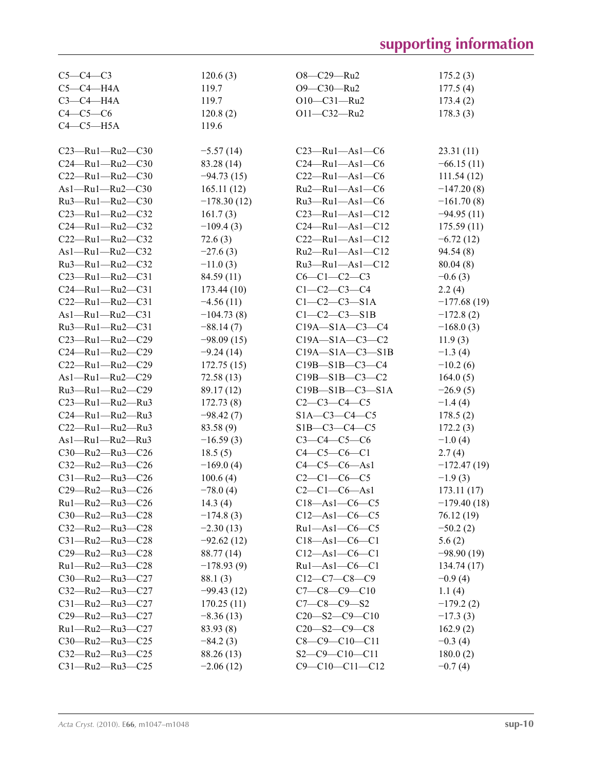# **supporting information**

| $C5-C4-C3$                    | 120.6(3)      | $O8 - C29 - Ru2$              | 175.2(3)      |
|-------------------------------|---------------|-------------------------------|---------------|
| $C5-C4-H4A$                   | 119.7         | O9-C30-Ru2                    | 177.5(4)      |
| $C3-C4-H4A$                   | 119.7         | $O10-C31 - Ru2$               | 173.4(2)      |
| $C4-C5-C6$                    | 120.8(2)      | O11-C32-Ru2                   | 178.3(3)      |
| $C4-C5-H5A$                   | 119.6         |                               |               |
|                               |               |                               |               |
| $C23$ —Ru1—Ru2—C30            | $-5.57(14)$   | $C23$ —Ru $1$ —As $1$ —C6     | 23.31(11)     |
| $C24 - Ru1 - Ru2 - C30$       | 83.28 (14)    | $C24 - Ru1 - As1 - C6$        | $-66.15(11)$  |
| $C22 - Ru1 - Ru2 - C30$       | $-94.73(15)$  | $C22 - Ru1 - As1 - C6$        | 111.54(12)    |
| As1-Ru1-Ru2-C30               | 165.11(12)    | Ru2—Ru1—As1—C6                | $-147.20(8)$  |
| Ru3-Ru1-Ru2-C30               | $-178.30(12)$ | $Ru3$ -Ru1-As1-C6             | $-161.70(8)$  |
| $C23 - Ru1 - Ru2 - C32$       | 161.7(3)      | $C23 - Ru1 - As1 - C12$       | $-94.95(11)$  |
| $C24 - Ru1 - Ru2 - C32$       | $-109.4(3)$   | $C24 - Ru1 - As1 - C12$       | 175.59(11)    |
| $C22 - Ru1 - Ru2 - C32$       | 72.6(3)       | $C22 - Ru1 - As1 - C12$       | $-6.72(12)$   |
| $As1 - Ru1 - Ru2 - C32$       | $-27.6(3)$    | $Ru2$ -Ru1-As1-C12            | 94.54(8)      |
| Ru3-Ru1-Ru2-C32               | $-11.0(3)$    | $Ru3$ — $Ru1$ — $As1$ — $Cl2$ | 80.04(8)      |
| $C23 - Ru1 - Ru2 - C31$       | 84.59 (11)    | $C6-C1-C2-C3$                 | $-0.6(3)$     |
| $C24 - Ru1 - Ru2 - C31$       | 173.44(10)    | $C1 - C2 - C3 - C4$           | 2.2(4)        |
| $C22 - Ru1 - Ru2 - C31$       | $-4.56(11)$   | $C1-C2-C3-S1A$                | $-177.68(19)$ |
| $As1 - Ru1 - Ru2 - C31$       | $-104.73(8)$  | $C1-C2-C3-S1B$                | $-172.8(2)$   |
| $Ru3$ – $Ru1$ – $Ru2$ – $C31$ | $-88.14(7)$   | $C19A - S1A - C3 - C4$        | $-168.0(3)$   |
| $C23 - Ru1 - Ru2 - C29$       | $-98.09(15)$  | $C19A - S1A - C3 - C2$        | 11.9(3)       |
| $C24$ —Ru1—Ru2—C29            | $-9.24(14)$   | $C19A - S1A - C3 - S1B$       | $-1.3(4)$     |
| C22-Ru1-Ru2-C29               | 172.75(15)    | $C19B - S1B - C3 - C4$        | $-10.2(6)$    |
| As1-Ru1-Ru2-C29               | 72.58 (13)    | $C19B - S1B - C3 - C2$        | 164.0(5)      |
| Ru3-Ru1-Ru2-C29               | 89.17 (12)    | $C19B - S1B - C3 - S1A$       | $-26.9(5)$    |
| $C23$ —Ru1—Ru2—Ru3            | 172.73(8)     | $C2-C3-C4-C5$                 | $-1.4(4)$     |
| $C24 - Ru1 - Ru2 - Ru3$       | $-98.42(7)$   | $S1A-C3-C4-C5$                | 178.5(2)      |
| $C22$ —Ru1—Ru2—Ru3            | 83.58 (9)     | $S1B-C3-C4-C5$                | 172.2(3)      |
| As1-Ru1-Ru2-Ru3               | $-16.59(3)$   | $C3-C4-C5-C6$                 | $-1.0(4)$     |
| C30-Ru2-Ru3-C26               | 18.5(5)       | $C4 - C5 - C6 - C1$           | 2.7(4)        |
| C32-Ru2-Ru3-C26               | $-169.0(4)$   | $C4 - C5 - C6 - As1$          | $-172.47(19)$ |
| $C31 - Ru2 - Ru3 - C26$       | 100.6(4)      | $C2-C1-C6-C5$                 | $-1.9(3)$     |
| C29-Ru2-Ru3-C26               | $-78.0(4)$    | $C2-C1-C6-As1$                | 173.11(17)    |
| Ru1-Ru2-Ru3-C26               | 14.3 $(4)$    | $C18 - As1 - C6 - C5$         | $-179.40(18)$ |
| $C30$ —Ru2—Ru3— $C28$         | $-174.8(3)$   | $C12$ —As1—C6—C5              | 76.12 (19)    |
| C32-Ru2-Ru3-C28               | $-2.30(13)$   | $Ru1 - As1 - C6 - C5$         | $-50.2(2)$    |
| $C31 - Ru2 - Ru3 - C28$       | $-92.62(12)$  | $C18$ —As1—C6—C1              | 5.6(2)        |
| C29-Ru2-Ru3-C28               | 88.77 (14)    | $C12 - As1 - C6 - C1$         | $-98.90(19)$  |
| Ru1-Ru2-Ru3-C28               | $-178.93(9)$  | $Ru1 - As1 - C6 - C1$         | 134.74 (17)   |
| $C30$ —Ru2—Ru3— $C27$         | 88.1 (3)      | $C12-C7-C8-C9$                | $-0.9(4)$     |
| $C32 - Ru2 - Ru3 - C27$       | $-99.43(12)$  | $C7-C8-C9-C10$                | 1.1(4)        |
| $C31 - Ru2 - Ru3 - C27$       | 170.25(11)    | $C7 - C8 - C9 - S2$           | $-179.2(2)$   |
| $C29 - Ru2 - Ru3 - C27$       | $-8.36(13)$   | $C20 - S2 - C9 - C10$         | $-17.3(3)$    |
| $Ru1 - Ru2 - Ru3 - C27$       | 83.93 (8)     | $C20 - S2 - C9 - C8$          | 162.9(2)      |
| $C30 - Ru2 - Ru3 - C25$       | $-84.2(3)$    | $C8-C9-C10-C11$               | $-0.3(4)$     |
| $C32 - Ru2 - Ru3 - C25$       | 88.26 (13)    | $S2-C9-C10-C11$               | 180.0(2)      |
| C31-Ru2-Ru3-C25               | $-2.06(12)$   | $C9 - C10 - C11 - C12$        | $-0.7(4)$     |